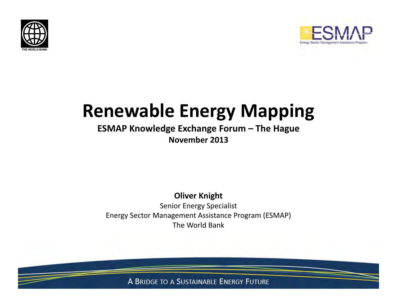



# **Renewable Energy Mapping**

#### **ESMAP Knowledge Exchange Forum – The Hague November 2013**

**Oliver Knight**

Senior Energy Specialist Energy Sector Management Assistance Program (ESMAP) The World Bank

A BRIDGE TO A SUSTAINABLE ENERGY FUTURE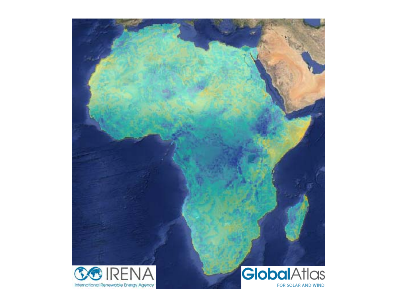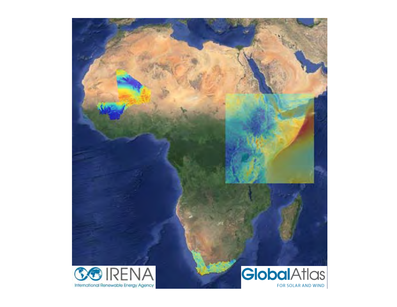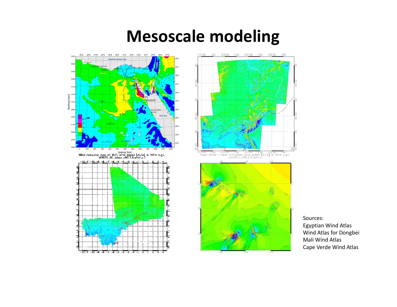### **Mesoscale modeling**





Sources:Egyptian Wind Atlas Wind Atlas for Dongbei Mali Wind Atlas Cape Verde Wind Atlas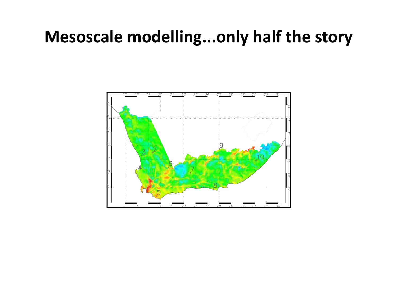### **Mesoscale modelling...only half the story**

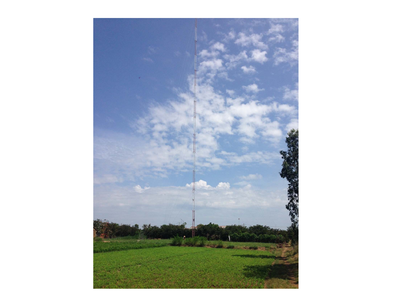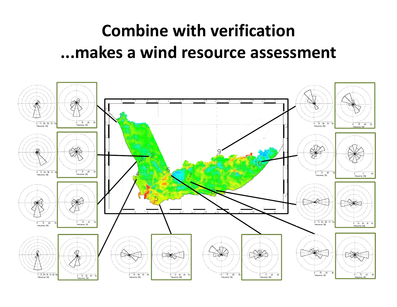# **Combine with verification ...makes a wind resource assessment**

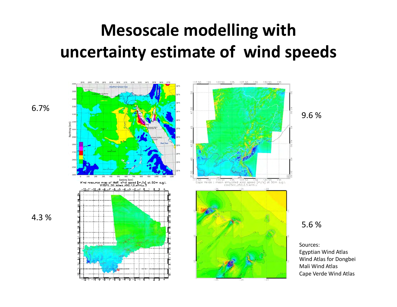## **Mesoscale modelling with uncertainty estimate of wind speeds**



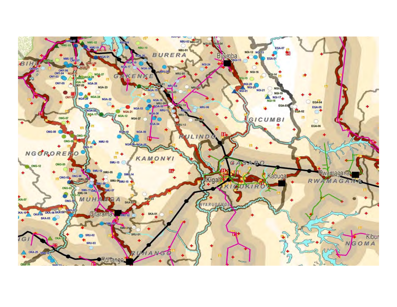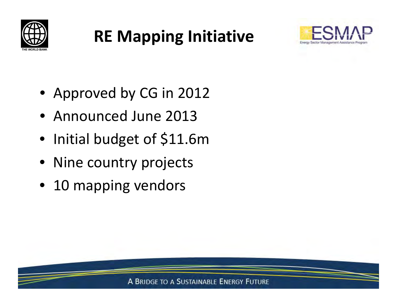

# **RE Mapping Initiative**



- Approved by CG in 2012
- Announced June 2013
- Initial budget of \$11.6m
- Nine country projects
- 10 mapping vendors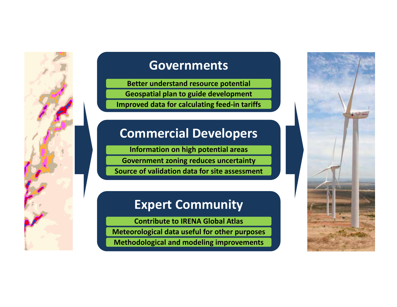#### **Governments**

**Better understand resource potential Geospatial plan to guide development Improved data for calculating feed‐in tariffs**

### **Commercial Developers**

**Information on high potential areas Government zoning reduces uncertainty Source of validation data for site assessment**

### **Expert Community**

**Contribute to IRENA Global Atlas Meteorological data useful for other purposes Methodological and modeling improvements**

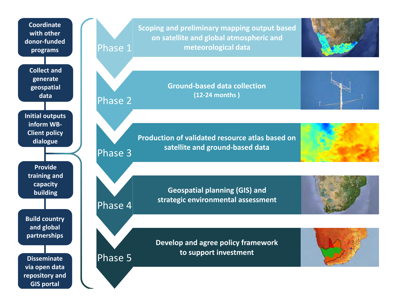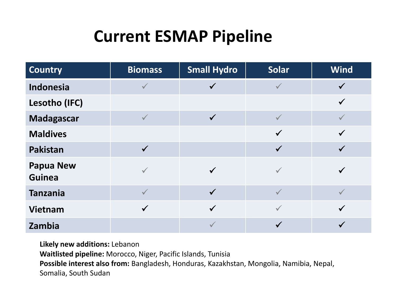# **Current ESMAP Pipeline**

| <b>Country</b>                    | <b>Biomass</b> | Small Hydro  | <b>Solar</b> | <b>Wind</b>  |
|-----------------------------------|----------------|--------------|--------------|--------------|
| <b>Indonesia</b>                  |                |              |              |              |
| Lesotho (IFC)                     |                |              |              | $\checkmark$ |
| Madagascar                        |                | $\checkmark$ | $\checkmark$ |              |
| <b>Maldives</b>                   |                |              | $\checkmark$ |              |
| Pakistan                          | $\checkmark$   |              | $\checkmark$ |              |
| <b>Papua New</b><br><b>Guinea</b> | $\checkmark$   | $\checkmark$ | $\checkmark$ |              |
| <b>Tanzania</b>                   |                | $\checkmark$ |              |              |
| <b>Vietnam</b>                    | $\checkmark$   | $\checkmark$ | $\checkmark$ |              |
| Zambia                            |                |              |              |              |

**Likely new additions:** Lebanon **Waitlisted pipeline:** Morocco, Niger, Pacific Islands, Tunisia **Possible interest also from:** Bangladesh, Honduras, Kazakhstan, Mongolia, Namibia, Nepal, Somalia, South Sudan